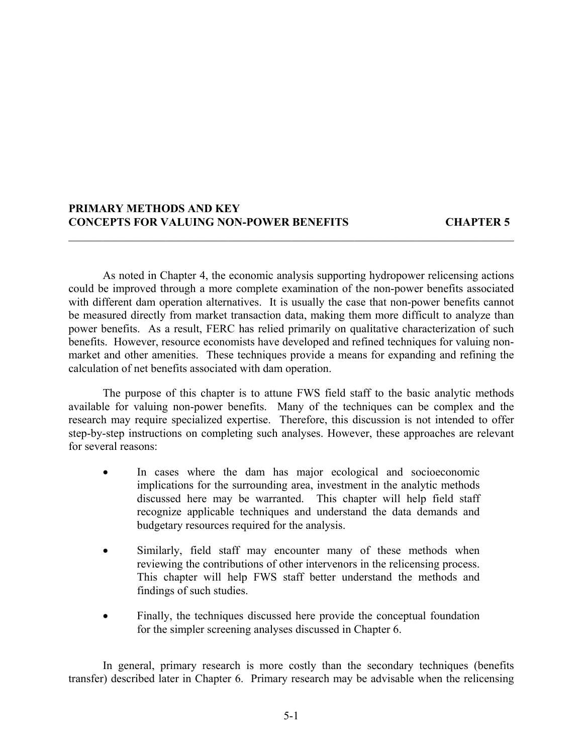### **PRIMARY METHODS AND KEY CONCEPTS FOR VALUING NON-POWER BENEFITS CHAPTER 5**

As noted in Chapter 4, the economic analysis supporting hydropower relicensing actions could be improved through a more complete examination of the non-power benefits associated with different dam operation alternatives. It is usually the case that non-power benefits cannot be measured directly from market transaction data, making them more difficult to analyze than power benefits. As a result, FERC has relied primarily on qualitative characterization of such benefits. However, resource economists have developed and refined techniques for valuing nonmarket and other amenities. These techniques provide a means for expanding and refining the calculation of net benefits associated with dam operation.

 $\mathcal{L}_\mathcal{L} = \mathcal{L}_\mathcal{L} = \mathcal{L}_\mathcal{L} = \mathcal{L}_\mathcal{L} = \mathcal{L}_\mathcal{L} = \mathcal{L}_\mathcal{L} = \mathcal{L}_\mathcal{L} = \mathcal{L}_\mathcal{L} = \mathcal{L}_\mathcal{L} = \mathcal{L}_\mathcal{L} = \mathcal{L}_\mathcal{L} = \mathcal{L}_\mathcal{L} = \mathcal{L}_\mathcal{L} = \mathcal{L}_\mathcal{L} = \mathcal{L}_\mathcal{L} = \mathcal{L}_\mathcal{L} = \mathcal{L}_\mathcal{L}$ 

The purpose of this chapter is to attune FWS field staff to the basic analytic methods available for valuing non-power benefits. Many of the techniques can be complex and the research may require specialized expertise. Therefore, this discussion is not intended to offer step-by-step instructions on completing such analyses. However, these approaches are relevant for several reasons:

- In cases where the dam has major ecological and socioeconomic implications for the surrounding area, investment in the analytic methods discussed here may be warranted. This chapter will help field staff recognize applicable techniques and understand the data demands and budgetary resources required for the analysis.
- Similarly, field staff may encounter many of these methods when reviewing the contributions of other intervenors in the relicensing process. This chapter will help FWS staff better understand the methods and findings of such studies.
- Finally, the techniques discussed here provide the conceptual foundation for the simpler screening analyses discussed in Chapter 6.

In general, primary research is more costly than the secondary techniques (benefits transfer) described later in Chapter 6. Primary research may be advisable when the relicensing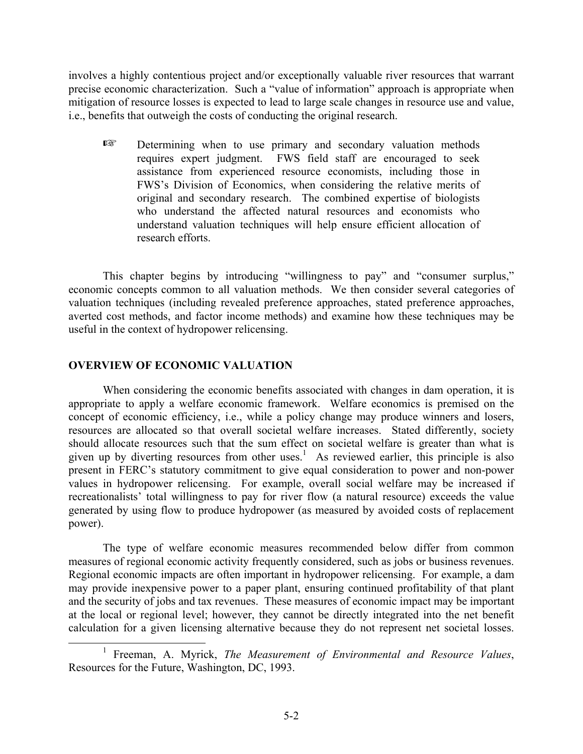involves a highly contentious project and/or exceptionally valuable river resources that warrant precise economic characterization. Such a "value of information" approach is appropriate when mitigation of resource losses is expected to lead to large scale changes in resource use and value, i.e., benefits that outweigh the costs of conducting the original research.

**Example 12** Determining when to use primary and secondary valuation methods requires expert judgment. FWS field staff are encouraged to seek assistance from experienced resource economists, including those in FWS's Division of Economics, when considering the relative merits of original and secondary research. The combined expertise of biologists who understand the affected natural resources and economists who understand valuation techniques will help ensure efficient allocation of research efforts.

This chapter begins by introducing "willingness to pay" and "consumer surplus," economic concepts common to all valuation methods. We then consider several categories of valuation techniques (including revealed preference approaches, stated preference approaches, averted cost methods, and factor income methods) and examine how these techniques may be useful in the context of hydropower relicensing.

# **OVERVIEW OF ECONOMIC VALUATION**

When considering the economic benefits associated with changes in dam operation, it is appropriate to apply a welfare economic framework. Welfare economics is premised on the concept of economic efficiency, i.e., while a policy change may produce winners and losers, resources are allocated so that overall societal welfare increases. Stated differently, society should allocate resources such that the sum effect on societal welfare is greater than what is given up by diverting resources from other uses.<sup>1</sup> As reviewed earlier, this principle is also present in FERC's statutory commitment to give equal consideration to power and non-power values in hydropower relicensing. For example, overall social welfare may be increased if recreationalists' total willingness to pay for river flow (a natural resource) exceeds the value generated by using flow to produce hydropower (as measured by avoided costs of replacement power).

The type of welfare economic measures recommended below differ from common measures of regional economic activity frequently considered, such as jobs or business revenues. Regional economic impacts are often important in hydropower relicensing. For example, a dam may provide inexpensive power to a paper plant, ensuring continued profitability of that plant and the security of jobs and tax revenues. These measures of economic impact may be important at the local or regional level; however, they cannot be directly integrated into the net benefit calculation for a given licensing alternative because they do not represent net societal losses.

<sup>&</sup>lt;sup>1</sup> Freeman, A. Myrick, *The Measurement of Environmental and Resource Values*, Resources for the Future, Washington, DC, 1993.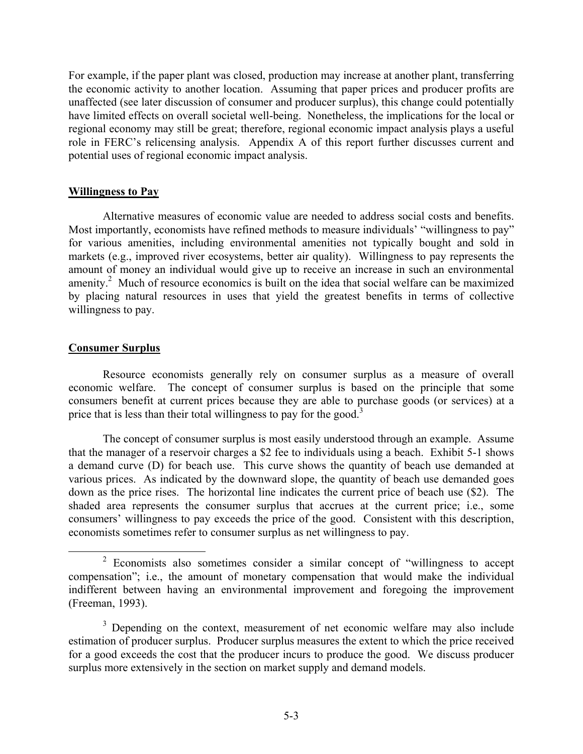For example, if the paper plant was closed, production may increase at another plant, transferring the economic activity to another location. Assuming that paper prices and producer profits are unaffected (see later discussion of consumer and producer surplus), this change could potentially have limited effects on overall societal well-being. Nonetheless, the implications for the local or regional economy may still be great; therefore, regional economic impact analysis plays a useful role in FERC's relicensing analysis. Appendix A of this report further discusses current and potential uses of regional economic impact analysis.

### **Willingness to Pay**

Alternative measures of economic value are needed to address social costs and benefits. Most importantly, economists have refined methods to measure individuals' "willingness to pay" for various amenities, including environmental amenities not typically bought and sold in markets (e.g., improved river ecosystems, better air quality). Willingness to pay represents the amount of money an individual would give up to receive an increase in such an environmental amenity.<sup>2</sup> Much of resource economics is built on the idea that social welfare can be maximized by placing natural resources in uses that yield the greatest benefits in terms of collective willingness to pay.

# **Consumer Surplus**

Resource economists generally rely on consumer surplus as a measure of overall economic welfare. The concept of consumer surplus is based on the principle that some consumers benefit at current prices because they are able to purchase goods (or services) at a price that is less than their total willingness to pay for the good.<sup>3</sup>

The concept of consumer surplus is most easily understood through an example. Assume that the manager of a reservoir charges a \$2 fee to individuals using a beach. Exhibit 5-1 shows a demand curve (D) for beach use. This curve shows the quantity of beach use demanded at various prices. As indicated by the downward slope, the quantity of beach use demanded goes down as the price rises. The horizontal line indicates the current price of beach use (\$2). The shaded area represents the consumer surplus that accrues at the current price; i.e., some consumers' willingness to pay exceeds the price of the good. Consistent with this description, economists sometimes refer to consumer surplus as net willingness to pay.

 $2$  Economists also sometimes consider a similar concept of "willingness to accept" compensation"; i.e., the amount of monetary compensation that would make the individual indifferent between having an environmental improvement and foregoing the improvement (Freeman, 1993).

<sup>&</sup>lt;sup>3</sup> Depending on the context, measurement of net economic welfare may also include estimation of producer surplus. Producer surplus measures the extent to which the price received for a good exceeds the cost that the producer incurs to produce the good. We discuss producer surplus more extensively in the section on market supply and demand models.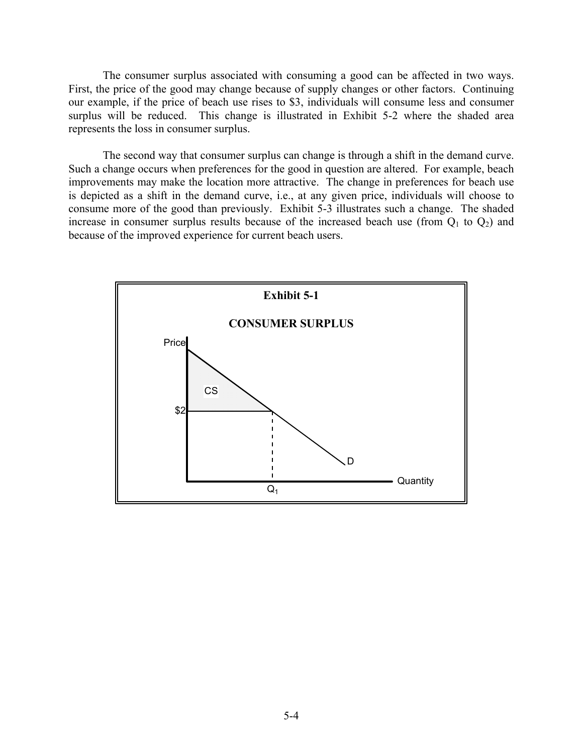The consumer surplus associated with consuming a good can be affected in two ways. First, the price of the good may change because of supply changes or other factors. Continuing our example, if the price of beach use rises to \$3, individuals will consume less and consumer surplus will be reduced. This change is illustrated in Exhibit 5-2 where the shaded area represents the loss in consumer surplus.

The second way that consumer surplus can change is through a shift in the demand curve. Such a change occurs when preferences for the good in question are altered. For example, beach improvements may make the location more attractive. The change in preferences for beach use is depicted as a shift in the demand curve, i.e., at any given price, individuals will choose to consume more of the good than previously. Exhibit 5-3 illustrates such a change. The shaded increase in consumer surplus results because of the increased beach use (from  $Q_1$  to  $Q_2$ ) and because of the improved experience for current beach users.

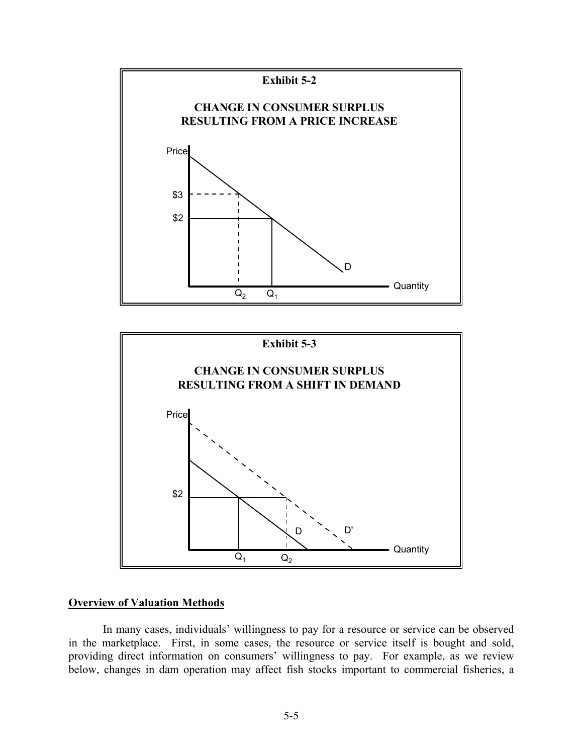



#### **Overview of Valuation Methods**

In many cases, individuals' willingness to pay for a resource or service can be observed in the marketplace. First, in some cases, the resource or service itself is bought and sold, providing direct information on consumers' willingness to pay. For example, as we review below, changes in dam operation may affect fish stocks important to commercial fisheries, a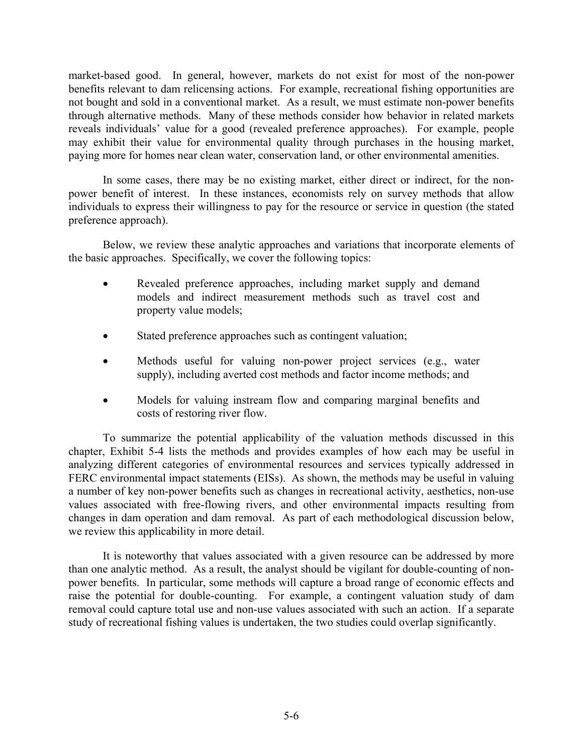market-based good. In general, however, markets do not exist for most of the non-power benefits relevant to dam relicensing actions. For example, recreational fishing opportunities are not bought and sold in a conventional market. As a result, we must estimate non-power benefits through alternative methods. Many of these methods consider how behavior in related markets reveals individuals' value for a good (revealed preference approaches). For example, people may exhibit their value for environmental quality through purchases in the housing market, paying more for homes near clean water, conservation land, or other environmental amenities.

In some cases, there may be no existing market, either direct or indirect, for the nonpower benefit of interest. In these instances, economists rely on survey methods that allow individuals to express their willingness to pay for the resource or service in question (the stated preference approach).

Below, we review these analytic approaches and variations that incorporate elements of the basic approaches. Specifically, we cover the following topics:

- Revealed preference approaches, including market supply and demand models and indirect measurement methods such as travel cost and property value models;
- Stated preference approaches such as contingent valuation;
- Methods useful for valuing non-power project services (e.g., water supply), including averted cost methods and factor income methods; and
- Models for valuing instream flow and comparing marginal benefits and costs of restoring river flow.

To summarize the potential applicability of the valuation methods discussed in this chapter, Exhibit 5-4 lists the methods and provides examples of how each may be useful in analyzing different categories of environmental resources and services typically addressed in FERC environmental impact statements (EISs). As shown, the methods may be useful in valuing a number of key non-power benefits such as changes in recreational activity, aesthetics, non-use values associated with free-flowing rivers, and other environmental impacts resulting from changes in dam operation and dam removal. As part of each methodological discussion below, we review this applicability in more detail.

It is noteworthy that values associated with a given resource can be addressed by more than one analytic method. As a result, the analyst should be vigilant for double-counting of nonpower benefits. In particular, some methods will capture a broad range of economic effects and raise the potential for double-counting. For example, a contingent valuation study of dam removal could capture total use and non-use values associated with such an action. If a separate study of recreational fishing values is undertaken, the two studies could overlap significantly.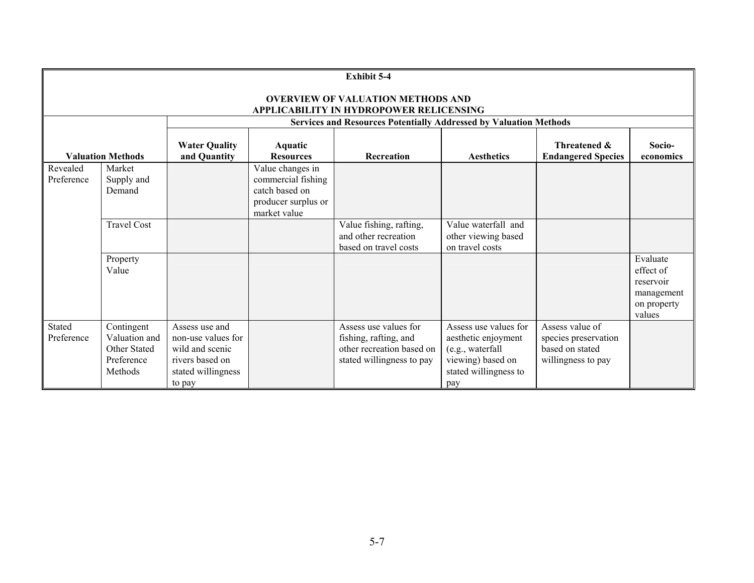| <b>Exhibit 5-4</b>                                                                  |                                                                      |                                                                                                            |                                                                                                 |                                                                                                          |                                                                                                                       |                                                                                  |                                                                           |  |
|-------------------------------------------------------------------------------------|----------------------------------------------------------------------|------------------------------------------------------------------------------------------------------------|-------------------------------------------------------------------------------------------------|----------------------------------------------------------------------------------------------------------|-----------------------------------------------------------------------------------------------------------------------|----------------------------------------------------------------------------------|---------------------------------------------------------------------------|--|
| <b>OVERVIEW OF VALUATION METHODS AND</b><br>APPLICABILITY IN HYDROPOWER RELICENSING |                                                                      |                                                                                                            |                                                                                                 |                                                                                                          |                                                                                                                       |                                                                                  |                                                                           |  |
|                                                                                     |                                                                      | <b>Services and Resources Potentially Addressed by Valuation Methods</b>                                   |                                                                                                 |                                                                                                          |                                                                                                                       |                                                                                  |                                                                           |  |
| <b>Valuation Methods</b>                                                            |                                                                      | <b>Water Quality</b><br>and Quantity                                                                       | Aquatic<br><b>Resources</b>                                                                     | <b>Recreation</b>                                                                                        | <b>Aesthetics</b>                                                                                                     | Threatened &<br><b>Endangered Species</b>                                        | Socio-<br>economics                                                       |  |
| Revealed<br>Preference                                                              | Market<br>Supply and<br>Demand                                       |                                                                                                            | Value changes in<br>commercial fishing<br>catch based on<br>producer surplus or<br>market value |                                                                                                          |                                                                                                                       |                                                                                  |                                                                           |  |
|                                                                                     | <b>Travel Cost</b>                                                   |                                                                                                            |                                                                                                 | Value fishing, rafting,<br>and other recreation<br>based on travel costs                                 | Value waterfall and<br>other viewing based<br>on travel costs                                                         |                                                                                  |                                                                           |  |
|                                                                                     | Property<br>Value                                                    |                                                                                                            |                                                                                                 |                                                                                                          |                                                                                                                       |                                                                                  | Evaluate<br>effect of<br>reservoir<br>management<br>on property<br>values |  |
| Stated<br>Preference                                                                | Contingent<br>Valuation and<br>Other Stated<br>Preference<br>Methods | Assess use and<br>non-use values for<br>wild and scenic<br>rivers based on<br>stated willingness<br>to pay |                                                                                                 | Assess use values for<br>fishing, rafting, and<br>other recreation based on<br>stated willingness to pay | Assess use values for<br>aesthetic enjoyment<br>(e.g., waterfall<br>viewing) based on<br>stated willingness to<br>pay | Assess value of<br>species preservation<br>based on stated<br>willingness to pay |                                                                           |  |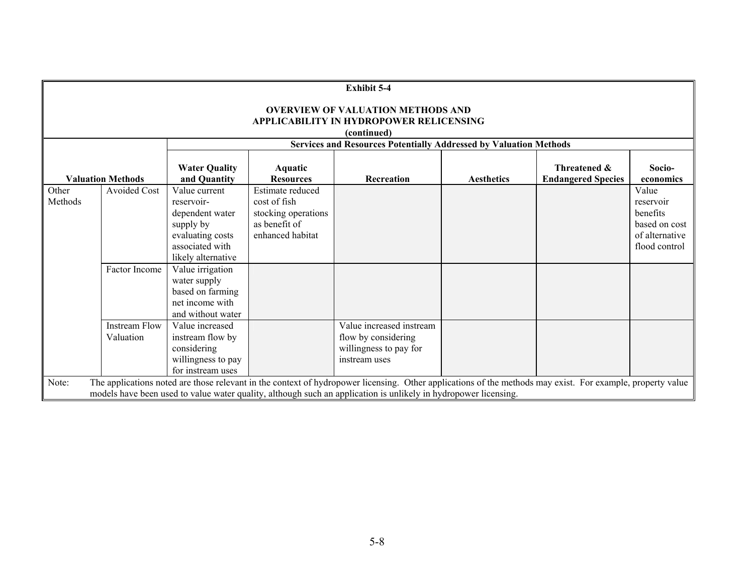| <b>Exhibit 5-4</b>                                                                                                                                                                                                                                                                     |                                   |                                                                                                                          |                                                                                              |                                                                                            |                   |                                           |                                                                                    |
|----------------------------------------------------------------------------------------------------------------------------------------------------------------------------------------------------------------------------------------------------------------------------------------|-----------------------------------|--------------------------------------------------------------------------------------------------------------------------|----------------------------------------------------------------------------------------------|--------------------------------------------------------------------------------------------|-------------------|-------------------------------------------|------------------------------------------------------------------------------------|
| <b>OVERVIEW OF VALUATION METHODS AND</b><br><b>APPLICABILITY IN HYDROPOWER RELICENSING</b><br>(continued)                                                                                                                                                                              |                                   |                                                                                                                          |                                                                                              |                                                                                            |                   |                                           |                                                                                    |
| <b>Services and Resources Potentially Addressed by Valuation Methods</b>                                                                                                                                                                                                               |                                   |                                                                                                                          |                                                                                              |                                                                                            |                   |                                           |                                                                                    |
| <b>Valuation Methods</b>                                                                                                                                                                                                                                                               |                                   | <b>Water Quality</b><br>and Quantity                                                                                     | Aquatic<br><b>Resources</b>                                                                  | Recreation                                                                                 | <b>Aesthetics</b> | Threatened &<br><b>Endangered Species</b> | Socio-<br>economics                                                                |
| Other<br>Methods                                                                                                                                                                                                                                                                       | <b>Avoided Cost</b>               | Value current<br>reservoir-<br>dependent water<br>supply by<br>evaluating costs<br>associated with<br>likely alternative | Estimate reduced<br>cost of fish<br>stocking operations<br>as benefit of<br>enhanced habitat |                                                                                            |                   |                                           | Value<br>reservoir<br>benefits<br>based on cost<br>of alternative<br>flood control |
|                                                                                                                                                                                                                                                                                        | Factor Income                     | Value irrigation<br>water supply<br>based on farming<br>net income with<br>and without water                             |                                                                                              |                                                                                            |                   |                                           |                                                                                    |
|                                                                                                                                                                                                                                                                                        | <b>Instream Flow</b><br>Valuation | Value increased<br>instream flow by<br>considering<br>willingness to pay<br>for instream uses                            |                                                                                              | Value increased instream<br>flow by considering<br>willingness to pay for<br>instream uses |                   |                                           |                                                                                    |
| The applications noted are those relevant in the context of hydropower licensing. Other applications of the methods may exist. For example, property value<br>Note:<br>models have been used to value water quality, although such an application is unlikely in hydropower licensing. |                                   |                                                                                                                          |                                                                                              |                                                                                            |                   |                                           |                                                                                    |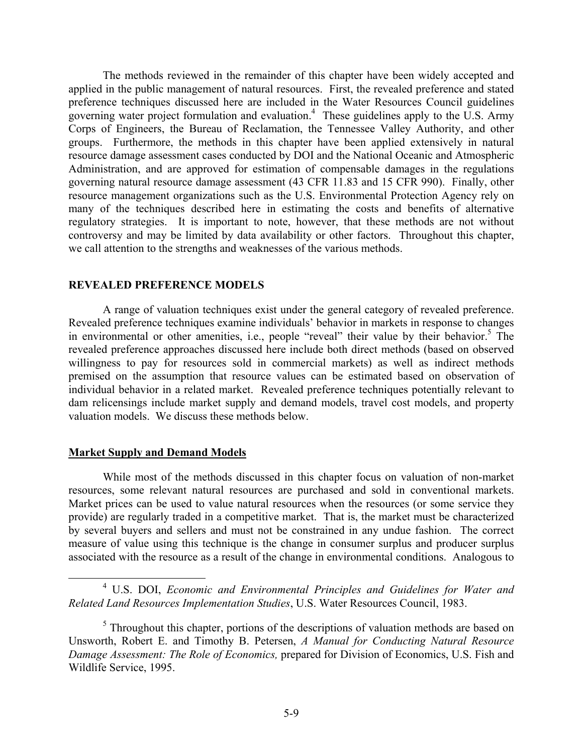The methods reviewed in the remainder of this chapter have been widely accepted and applied in the public management of natural resources. First, the revealed preference and stated preference techniques discussed here are included in the Water Resources Council guidelines governing water project formulation and evaluation.<sup>4</sup> These guidelines apply to the U.S. Army Corps of Engineers, the Bureau of Reclamation, the Tennessee Valley Authority, and other groups. Furthermore, the methods in this chapter have been applied extensively in natural resource damage assessment cases conducted by DOI and the National Oceanic and Atmospheric Administration, and are approved for estimation of compensable damages in the regulations governing natural resource damage assessment (43 CFR 11.83 and 15 CFR 990). Finally, other resource management organizations such as the U.S. Environmental Protection Agency rely on many of the techniques described here in estimating the costs and benefits of alternative regulatory strategies. It is important to note, however, that these methods are not without controversy and may be limited by data availability or other factors. Throughout this chapter, we call attention to the strengths and weaknesses of the various methods.

#### **REVEALED PREFERENCE MODELS**

A range of valuation techniques exist under the general category of revealed preference. Revealed preference techniques examine individuals' behavior in markets in response to changes in environmental or other amenities, i.e., people "reveal" their value by their behavior.<sup>5</sup> The revealed preference approaches discussed here include both direct methods (based on observed willingness to pay for resources sold in commercial markets) as well as indirect methods premised on the assumption that resource values can be estimated based on observation of individual behavior in a related market. Revealed preference techniques potentially relevant to dam relicensings include market supply and demand models, travel cost models, and property valuation models. We discuss these methods below.

### **Market Supply and Demand Models**

While most of the methods discussed in this chapter focus on valuation of non-market resources, some relevant natural resources are purchased and sold in conventional markets. Market prices can be used to value natural resources when the resources (or some service they provide) are regularly traded in a competitive market. That is, the market must be characterized by several buyers and sellers and must not be constrained in any undue fashion. The correct measure of value using this technique is the change in consumer surplus and producer surplus associated with the resource as a result of the change in environmental conditions. Analogous to

<sup>4</sup> U.S. DOI, *Economic and Environmental Principles and Guidelines for Water and Related Land Resources Implementation Studies*, U.S. Water Resources Council, 1983.

 $<sup>5</sup>$  Throughout this chapter, portions of the descriptions of valuation methods are based on</sup> Unsworth, Robert E. and Timothy B. Petersen, *A Manual for Conducting Natural Resource Damage Assessment: The Role of Economics,* prepared for Division of Economics, U.S. Fish and Wildlife Service, 1995.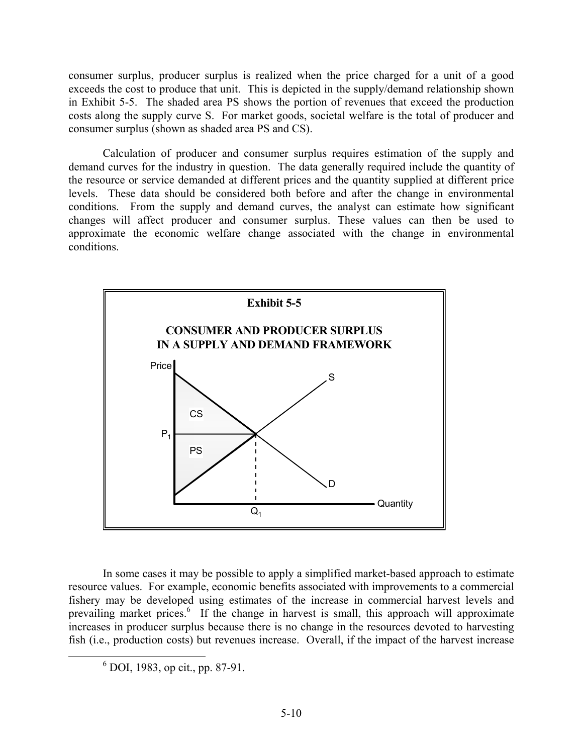consumer surplus, producer surplus is realized when the price charged for a unit of a good exceeds the cost to produce that unit. This is depicted in the supply/demand relationship shown in Exhibit 5-5. The shaded area PS shows the portion of revenues that exceed the production costs along the supply curve S. For market goods, societal welfare is the total of producer and consumer surplus (shown as shaded area PS and CS).

Calculation of producer and consumer surplus requires estimation of the supply and demand curves for the industry in question. The data generally required include the quantity of the resource or service demanded at different prices and the quantity supplied at different price levels. These data should be considered both before and after the change in environmental conditions. From the supply and demand curves, the analyst can estimate how significant changes will affect producer and consumer surplus. These values can then be used to approximate the economic welfare change associated with the change in environmental conditions.



In some cases it may be possible to apply a simplified market-based approach to estimate resource values. For example, economic benefits associated with improvements to a commercial fishery may be developed using estimates of the increase in commercial harvest levels and prevailing market prices.<sup>6</sup> If the change in harvest is small, this approach will approximate increases in producer surplus because there is no change in the resources devoted to harvesting fish (i.e., production costs) but revenues increase. Overall, if the impact of the harvest increase

<sup>6</sup> DOI, 1983, op cit., pp. 87-91.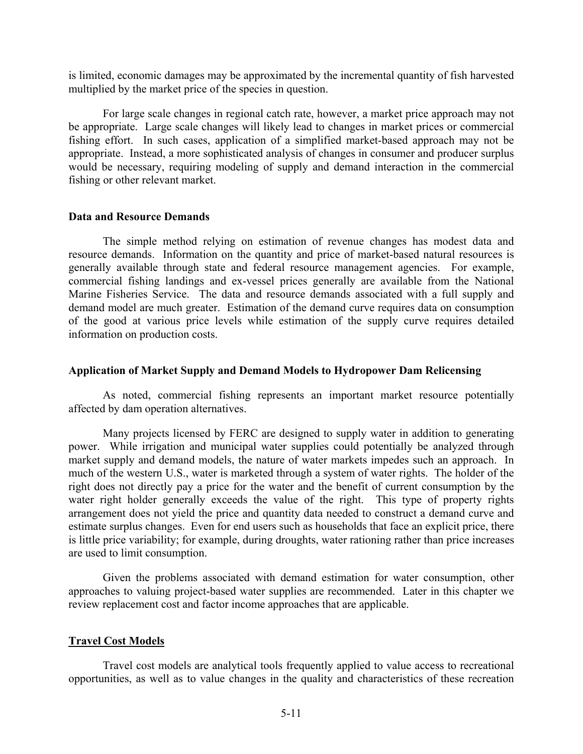is limited, economic damages may be approximated by the incremental quantity of fish harvested multiplied by the market price of the species in question.

For large scale changes in regional catch rate, however, a market price approach may not be appropriate. Large scale changes will likely lead to changes in market prices or commercial fishing effort. In such cases, application of a simplified market-based approach may not be appropriate. Instead, a more sophisticated analysis of changes in consumer and producer surplus would be necessary, requiring modeling of supply and demand interaction in the commercial fishing or other relevant market.

#### **Data and Resource Demands**

The simple method relying on estimation of revenue changes has modest data and resource demands. Information on the quantity and price of market-based natural resources is generally available through state and federal resource management agencies. For example, commercial fishing landings and ex-vessel prices generally are available from the National Marine Fisheries Service. The data and resource demands associated with a full supply and demand model are much greater. Estimation of the demand curve requires data on consumption of the good at various price levels while estimation of the supply curve requires detailed information on production costs.

#### **Application of Market Supply and Demand Models to Hydropower Dam Relicensing**

As noted, commercial fishing represents an important market resource potentially affected by dam operation alternatives.

Many projects licensed by FERC are designed to supply water in addition to generating power. While irrigation and municipal water supplies could potentially be analyzed through market supply and demand models, the nature of water markets impedes such an approach. In much of the western U.S., water is marketed through a system of water rights. The holder of the right does not directly pay a price for the water and the benefit of current consumption by the water right holder generally exceeds the value of the right. This type of property rights arrangement does not yield the price and quantity data needed to construct a demand curve and estimate surplus changes. Even for end users such as households that face an explicit price, there is little price variability; for example, during droughts, water rationing rather than price increases are used to limit consumption.

Given the problems associated with demand estimation for water consumption, other approaches to valuing project-based water supplies are recommended. Later in this chapter we review replacement cost and factor income approaches that are applicable.

### **Travel Cost Models**

Travel cost models are analytical tools frequently applied to value access to recreational opportunities, as well as to value changes in the quality and characteristics of these recreation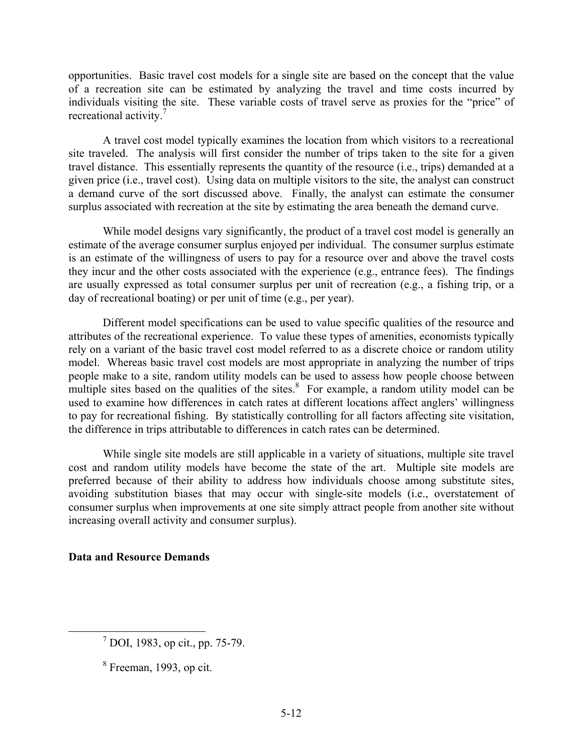opportunities. Basic travel cost models for a single site are based on the concept that the value of a recreation site can be estimated by analyzing the travel and time costs incurred by individuals visiting the site. These variable costs of travel serve as proxies for the "price" of recreational activity.<sup>7</sup>

A travel cost model typically examines the location from which visitors to a recreational site traveled. The analysis will first consider the number of trips taken to the site for a given travel distance. This essentially represents the quantity of the resource (i.e., trips) demanded at a given price (i.e., travel cost). Using data on multiple visitors to the site, the analyst can construct a demand curve of the sort discussed above. Finally, the analyst can estimate the consumer surplus associated with recreation at the site by estimating the area beneath the demand curve.

While model designs vary significantly, the product of a travel cost model is generally an estimate of the average consumer surplus enjoyed per individual. The consumer surplus estimate is an estimate of the willingness of users to pay for a resource over and above the travel costs they incur and the other costs associated with the experience (e.g., entrance fees). The findings are usually expressed as total consumer surplus per unit of recreation (e.g., a fishing trip, or a day of recreational boating) or per unit of time (e.g., per year).

Different model specifications can be used to value specific qualities of the resource and attributes of the recreational experience. To value these types of amenities, economists typically rely on a variant of the basic travel cost model referred to as a discrete choice or random utility model. Whereas basic travel cost models are most appropriate in analyzing the number of trips people make to a site, random utility models can be used to assess how people choose between multiple sites based on the qualities of the sites. $\frac{8}{3}$  For example, a random utility model can be used to examine how differences in catch rates at different locations affect anglers' willingness to pay for recreational fishing. By statistically controlling for all factors affecting site visitation, the difference in trips attributable to differences in catch rates can be determined.

While single site models are still applicable in a variety of situations, multiple site travel cost and random utility models have become the state of the art. Multiple site models are preferred because of their ability to address how individuals choose among substitute sites, avoiding substitution biases that may occur with single-site models (i.e., overstatement of consumer surplus when improvements at one site simply attract people from another site without increasing overall activity and consumer surplus).

# **Data and Resource Demands**

<sup>7</sup> DOI, 1983, op cit., pp. 75-79.

 $8$  Freeman, 1993, op cit.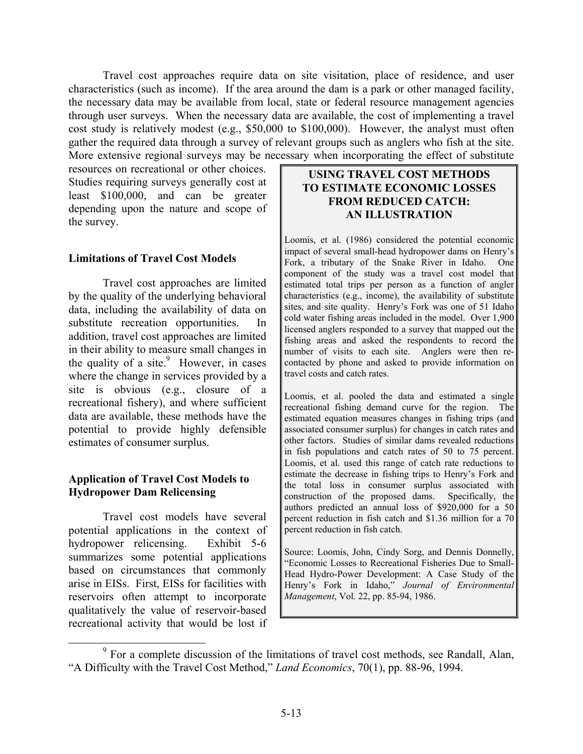Travel cost approaches require data on site visitation, place of residence, and user characteristics (such as income). If the area around the dam is a park or other managed facility, the necessary data may be available from local, state or federal resource management agencies through user surveys. When the necessary data are available, the cost of implementing a travel cost study is relatively modest (e.g., \$50,000 to \$100,000). However, the analyst must often gather the required data through a survey of relevant groups such as anglers who fish at the site. More extensive regional surveys may be necessary when incorporating the effect of substitute

resources on recreational or other choices. Studies requiring surveys generally cost at least \$100,000, and can be greater depending upon the nature and scope of the survey.

#### **Limitations of Travel Cost Models**

Travel cost approaches are limited by the quality of the underlying behavioral data, including the availability of data on substitute recreation opportunities. In addition, travel cost approaches are limited in their ability to measure small changes in the quality of a site. $9$  However, in cases where the change in services provided by a site is obvious (e.g., closure of a recreational fishery), and where sufficient data are available, these methods have the potential to provide highly defensible estimates of consumer surplus.

### **Application of Travel Cost Models to Hydropower Dam Relicensing**

Travel cost models have several potential applications in the context of hydropower relicensing. Exhibit 5-6 summarizes some potential applications based on circumstances that commonly arise in EISs. First, EISs for facilities with reservoirs often attempt to incorporate qualitatively the value of reservoir-based recreational activity that would be lost if

# **USING TRAVEL COST METHODS TO ESTIMATE ECONOMIC LOSSES FROM REDUCED CATCH: AN ILLUSTRATION**

Loomis, et al. (1986) considered the potential economic impact of several small-head hydropower dams on Henry's Fork, a tributary of the Snake River in Idaho. component of the study was a travel cost model that estimated total trips per person as a function of angler characteristics (e.g., income), the availability of substitute sites, and site quality. Henry's Fork was one of 51 Idaho cold water fishing areas included in the model. Over 1,900 licensed anglers responded to a survey that mapped out the fishing areas and asked the respondents to record the number of visits to each site. Anglers were then recontacted by phone and asked to provide information on travel costs and catch rates. One

Loomis, et al. pooled the data and estimated a single recreational fishing demand curve for the region. The estimated equation measures changes in fishing trips (and associated consumer surplus) for changes in catch rates and other factors. Studies of similar dams revealed reductions in fish populations and catch rates of 50 to 75 percent. Loomis, et al. used this range of catch rate reductions to estimate the decrease in fishing trips to Henry's Fork and the total loss in consumer surplus associated with construction of the proposed dams. authors predicted an annual loss of \$920,000 for a 50 percent reduction in fish catch and \$1.36 million for a 70 percent reduction in fish catch. Specifically, the

Source: Loomis, John, Cindy Sorg, and Dennis Donnelly, "Economic Losses to Recreational Fisheries Due to Small-Head Hydro-Power Development: A Case Study of the Henry's Fork in Idaho," Journal of Environmental *Management*, Vol. 22, pp. 85-94, 1986.

<sup>&</sup>lt;sup>9</sup> For a complete discussion of the limitations of travel cost methods, see Randall, Alan, "A Difficulty with the Travel Cost Method," *Land Economics*, 70(1), pp. 88-96, 1994.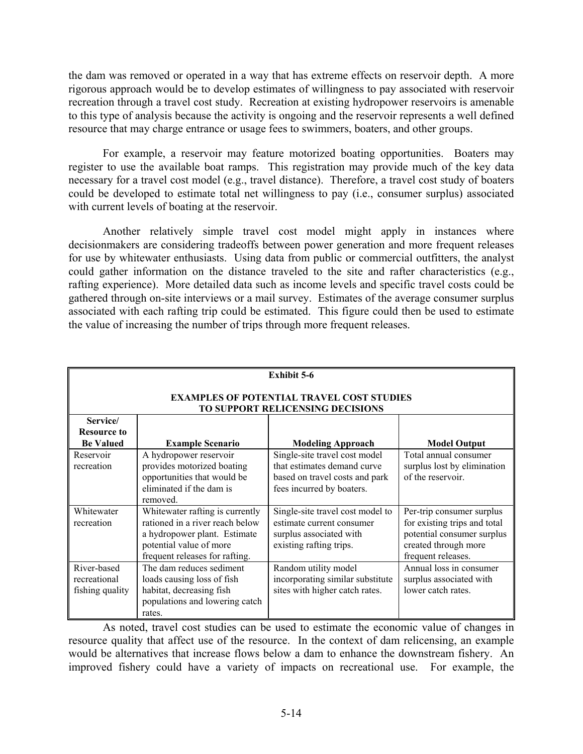the dam was removed or operated in a way that has extreme effects on reservoir depth. A more rigorous approach would be to develop estimates of willingness to pay associated with reservoir recreation through a travel cost study. Recreation at existing hydropower reservoirs is amenable to this type of analysis because the activity is ongoing and the reservoir represents a well defined resource that may charge entrance or usage fees to swimmers, boaters, and other groups.

For example, a reservoir may feature motorized boating opportunities. Boaters may register to use the available boat ramps. This registration may provide much of the key data necessary for a travel cost model (e.g., travel distance). Therefore, a travel cost study of boaters could be developed to estimate total net willingness to pay (i.e., consumer surplus) associated with current levels of boating at the reservoir.

Another relatively simple travel cost model might apply in instances where decisionmakers are considering tradeoffs between power generation and more frequent releases for use by whitewater enthusiasts. Using data from public or commercial outfitters, the analyst could gather information on the distance traveled to the site and rafter characteristics (e.g., rafting experience). More detailed data such as income levels and specific travel costs could be gathered through on-site interviews or a mail survey. Estimates of the average consumer surplus associated with each rafting trip could be estimated. This figure could then be used to estimate the value of increasing the number of trips through more frequent releases.

| <b>Exhibit 5-6</b>                                                                   |                                                                                                                                                                 |                                                                                                                             |                                                                                                                                       |  |  |  |
|--------------------------------------------------------------------------------------|-----------------------------------------------------------------------------------------------------------------------------------------------------------------|-----------------------------------------------------------------------------------------------------------------------------|---------------------------------------------------------------------------------------------------------------------------------------|--|--|--|
| <b>EXAMPLES OF POTENTIAL TRAVEL COST STUDIES</b><br>TO SUPPORT RELICENSING DECISIONS |                                                                                                                                                                 |                                                                                                                             |                                                                                                                                       |  |  |  |
| Service/<br><b>Resource to</b><br><b>Be Valued</b>                                   | <b>Example Scenario</b>                                                                                                                                         | <b>Modeling Approach</b>                                                                                                    | <b>Model Output</b>                                                                                                                   |  |  |  |
| Reservoir<br>recreation                                                              | A hydropower reservoir<br>provides motorized boating<br>opportunities that would be<br>eliminated if the dam is<br>removed.                                     | Single-site travel cost model<br>that estimates demand curve<br>based on travel costs and park<br>fees incurred by boaters. | Total annual consumer<br>surplus lost by elimination<br>of the reservoir.                                                             |  |  |  |
| Whitewater<br>recreation                                                             | Whitewater rafting is currently<br>rationed in a river reach below<br>a hydropower plant. Estimate<br>potential value of more<br>frequent releases for rafting. | Single-site travel cost model to<br>estimate current consumer<br>surplus associated with<br>existing rafting trips.         | Per-trip consumer surplus<br>for existing trips and total<br>potential consumer surplus<br>created through more<br>frequent releases. |  |  |  |
| River-based<br>recreational<br>fishing quality                                       | The dam reduces sediment<br>loads causing loss of fish<br>habitat, decreasing fish<br>populations and lowering catch<br>rates.                                  | Random utility model<br>incorporating similar substitute<br>sites with higher catch rates.                                  | Annual loss in consumer<br>surplus associated with<br>lower catch rates.                                                              |  |  |  |

As noted, travel cost studies can be used to estimate the economic value of changes in resource quality that affect use of the resource. In the context of dam relicensing, an example would be alternatives that increase flows below a dam to enhance the downstream fishery. An improved fishery could have a variety of impacts on recreational use. For example, the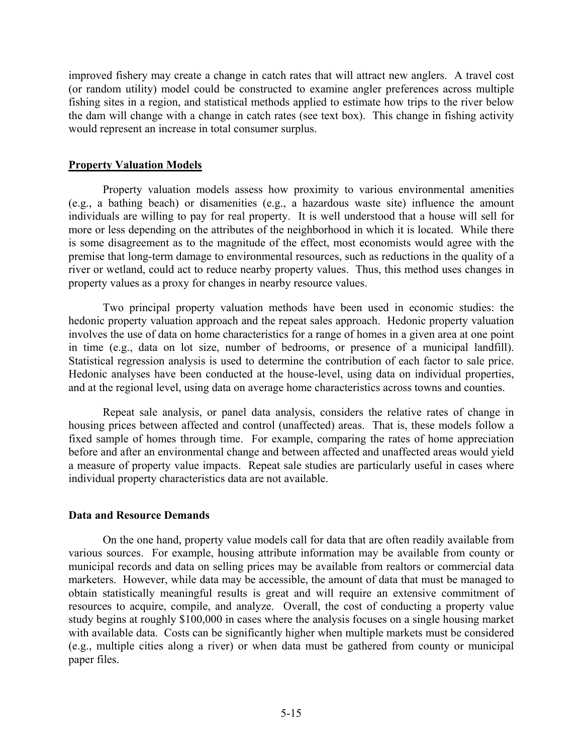improved fishery may create a change in catch rates that will attract new anglers. A travel cost (or random utility) model could be constructed to examine angler preferences across multiple fishing sites in a region, and statistical methods applied to estimate how trips to the river below the dam will change with a change in catch rates (see text box). This change in fishing activity would represent an increase in total consumer surplus.

### **Property Valuation Models**

Property valuation models assess how proximity to various environmental amenities (e.g., a bathing beach) or disamenities (e.g., a hazardous waste site) influence the amount individuals are willing to pay for real property. It is well understood that a house will sell for more or less depending on the attributes of the neighborhood in which it is located. While there is some disagreement as to the magnitude of the effect, most economists would agree with the premise that long-term damage to environmental resources, such as reductions in the quality of a river or wetland, could act to reduce nearby property values. Thus, this method uses changes in property values as a proxy for changes in nearby resource values.

Two principal property valuation methods have been used in economic studies: the hedonic property valuation approach and the repeat sales approach. Hedonic property valuation involves the use of data on home characteristics for a range of homes in a given area at one point in time (e.g., data on lot size, number of bedrooms, or presence of a municipal landfill). Statistical regression analysis is used to determine the contribution of each factor to sale price. Hedonic analyses have been conducted at the house-level, using data on individual properties, and at the regional level, using data on average home characteristics across towns and counties.

Repeat sale analysis, or panel data analysis, considers the relative rates of change in housing prices between affected and control (unaffected) areas. That is, these models follow a fixed sample of homes through time. For example, comparing the rates of home appreciation before and after an environmental change and between affected and unaffected areas would yield a measure of property value impacts. Repeat sale studies are particularly useful in cases where individual property characteristics data are not available.

### **Data and Resource Demands**

On the one hand, property value models call for data that are often readily available from various sources. For example, housing attribute information may be available from county or municipal records and data on selling prices may be available from realtors or commercial data marketers. However, while data may be accessible, the amount of data that must be managed to obtain statistically meaningful results is great and will require an extensive commitment of resources to acquire, compile, and analyze. Overall, the cost of conducting a property value study begins at roughly \$100,000 in cases where the analysis focuses on a single housing market with available data. Costs can be significantly higher when multiple markets must be considered (e.g., multiple cities along a river) or when data must be gathered from county or municipal paper files.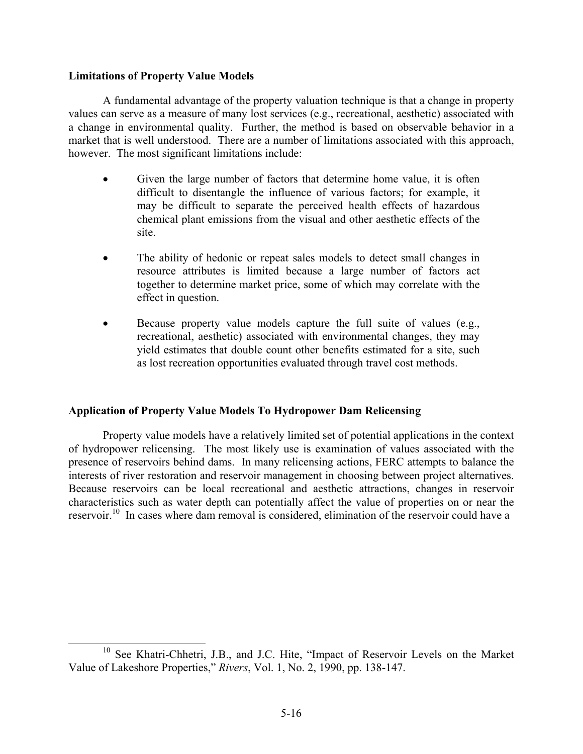### **Limitations of Property Value Models**

A fundamental advantage of the property valuation technique is that a change in property values can serve as a measure of many lost services (e.g., recreational, aesthetic) associated with a change in environmental quality. Further, the method is based on observable behavior in a market that is well understood. There are a number of limitations associated with this approach, however. The most significant limitations include:

- Given the large number of factors that determine home value, it is often difficult to disentangle the influence of various factors; for example, it may be difficult to separate the perceived health effects of hazardous chemical plant emissions from the visual and other aesthetic effects of the site.
- The ability of hedonic or repeat sales models to detect small changes in resource attributes is limited because a large number of factors act together to determine market price, some of which may correlate with the effect in question.
- Because property value models capture the full suite of values (e.g., recreational, aesthetic) associated with environmental changes, they may yield estimates that double count other benefits estimated for a site, such as lost recreation opportunities evaluated through travel cost methods.

# **Application of Property Value Models To Hydropower Dam Relicensing**

Property value models have a relatively limited set of potential applications in the context of hydropower relicensing. The most likely use is examination of values associated with the presence of reservoirs behind dams. In many relicensing actions, FERC attempts to balance the interests of river restoration and reservoir management in choosing between project alternatives. Because reservoirs can be local recreational and aesthetic attractions, changes in reservoir characteristics such as water depth can potentially affect the value of properties on or near the reservoir.10 In cases where dam removal is considered, elimination of the reservoir could have a

<sup>&</sup>lt;sup>10</sup> See Khatri-Chhetri, J.B., and J.C. Hite, "Impact of Reservoir Levels on the Market Value of Lakeshore Properties," *Rivers*, Vol. 1, No. 2, 1990, pp. 138-147.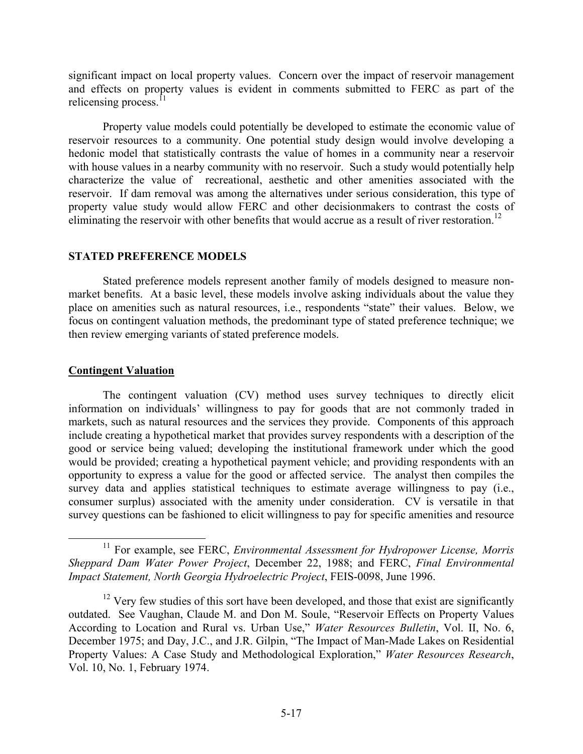significant impact on local property values. Concern over the impact of reservoir management and effects on property values is evident in comments submitted to FERC as part of the relicensing process.<sup>11</sup>

Property value models could potentially be developed to estimate the economic value of reservoir resources to a community. One potential study design would involve developing a hedonic model that statistically contrasts the value of homes in a community near a reservoir with house values in a nearby community with no reservoir. Such a study would potentially help characterize the value of recreational, aesthetic and other amenities associated with the reservoir. If dam removal was among the alternatives under serious consideration, this type of property value study would allow FERC and other decisionmakers to contrast the costs of eliminating the reservoir with other benefits that would accrue as a result of river restoration.<sup>12</sup>

### **STATED PREFERENCE MODELS**

Stated preference models represent another family of models designed to measure nonmarket benefits. At a basic level, these models involve asking individuals about the value they place on amenities such as natural resources, i.e., respondents "state" their values. Below, we focus on contingent valuation methods, the predominant type of stated preference technique; we then review emerging variants of stated preference models.

# **Contingent Valuation**

The contingent valuation (CV) method uses survey techniques to directly elicit information on individuals' willingness to pay for goods that are not commonly traded in markets, such as natural resources and the services they provide. Components of this approach include creating a hypothetical market that provides survey respondents with a description of the good or service being valued; developing the institutional framework under which the good would be provided; creating a hypothetical payment vehicle; and providing respondents with an opportunity to express a value for the good or affected service. The analyst then compiles the survey data and applies statistical techniques to estimate average willingness to pay (i.e., consumer surplus) associated with the amenity under consideration. CV is versatile in that survey questions can be fashioned to elicit willingness to pay for specific amenities and resource

<sup>&</sup>lt;sup>11</sup> For example, see FERC, *Environmental Assessment for Hydropower License*, *Morris Sheppard Dam Water Power Project*, December 22, 1988; and FERC, *Final Environmental Impact Statement, North Georgia Hydroelectric Project*, FEIS-0098, June 1996.

 $12$  Very few studies of this sort have been developed, and those that exist are significantly outdated. See Vaughan, Claude M. and Don M. Soule, "Reservoir Effects on Property Values According to Location and Rural vs. Urban Use," *Water Resources Bulletin*, Vol. II, No. 6, December 1975; and Day, J.C., and J.R. Gilpin, "The Impact of Man-Made Lakes on Residential Property Values: A Case Study and Methodological Exploration," *Water Resources Research*, Vol. 10, No. 1, February 1974.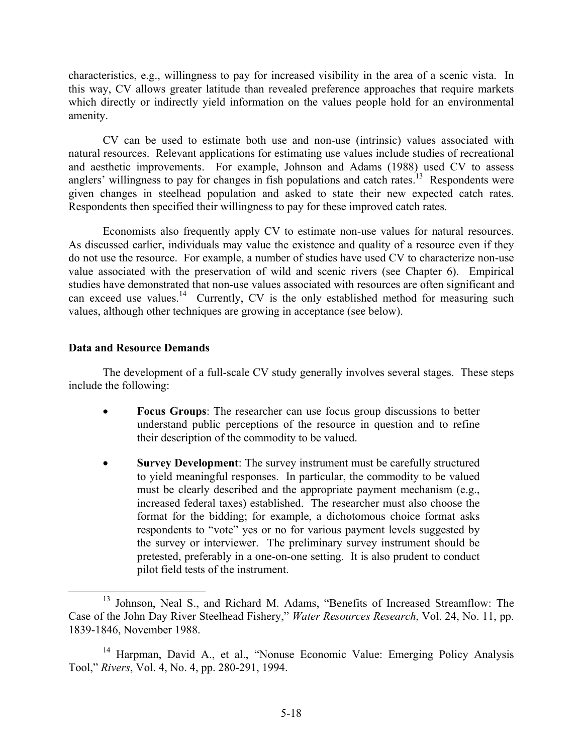characteristics, e.g., willingness to pay for increased visibility in the area of a scenic vista. In this way, CV allows greater latitude than revealed preference approaches that require markets which directly or indirectly yield information on the values people hold for an environmental amenity.

CV can be used to estimate both use and non-use (intrinsic) values associated with natural resources. Relevant applications for estimating use values include studies of recreational and aesthetic improvements. For example, Johnson and Adams (1988) used CV to assess anglers' willingness to pay for changes in fish populations and catch rates.<sup>13</sup> Respondents were given changes in steelhead population and asked to state their new expected catch rates. Respondents then specified their willingness to pay for these improved catch rates.

Economists also frequently apply CV to estimate non-use values for natural resources. As discussed earlier, individuals may value the existence and quality of a resource even if they do not use the resource. For example, a number of studies have used CV to characterize non-use value associated with the preservation of wild and scenic rivers (see Chapter 6). Empirical studies have demonstrated that non-use values associated with resources are often significant and can exceed use values.<sup>14</sup> Currently, CV is the only established method for measuring such values, although other techniques are growing in acceptance (see below).

# **Data and Resource Demands**

The development of a full-scale CV study generally involves several stages. These steps include the following:

- **Focus Groups**: The researcher can use focus group discussions to better understand public perceptions of the resource in question and to refine their description of the commodity to be valued.
- **Survey Development:** The survey instrument must be carefully structured to yield meaningful responses. In particular, the commodity to be valued must be clearly described and the appropriate payment mechanism (e.g., increased federal taxes) established. The researcher must also choose the format for the bidding; for example, a dichotomous choice format asks respondents to "vote" yes or no for various payment levels suggested by the survey or interviewer. The preliminary survey instrument should be pretested, preferably in a one-on-one setting. It is also prudent to conduct pilot field tests of the instrument.

<sup>&</sup>lt;sup>13</sup> Johnson, Neal S., and Richard M. Adams, "Benefits of Increased Streamflow: The Case of the John Day River Steelhead Fishery," *Water Resources Research*, Vol. 24, No. 11, pp. 1839-1846, November 1988.

<sup>&</sup>lt;sup>14</sup> Harpman, David A., et al., "Nonuse Economic Value: Emerging Policy Analysis Tool," *Rivers*, Vol. 4, No. 4, pp. 280-291, 1994.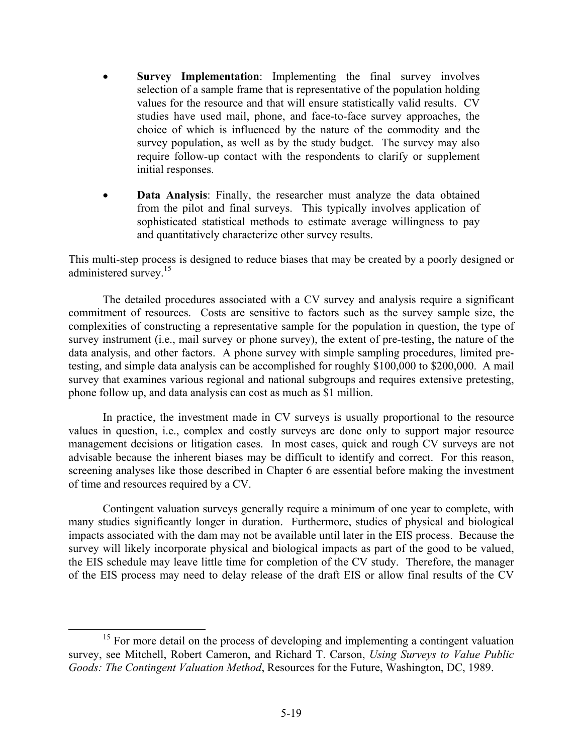- **Survey Implementation**: Implementing the final survey involves selection of a sample frame that is representative of the population holding values for the resource and that will ensure statistically valid results. CV studies have used mail, phone, and face-to-face survey approaches, the choice of which is influenced by the nature of the commodity and the survey population, as well as by the study budget. The survey may also require follow-up contact with the respondents to clarify or supplement initial responses.
- **Data Analysis:** Finally, the researcher must analyze the data obtained from the pilot and final surveys. This typically involves application of sophisticated statistical methods to estimate average willingness to pay and quantitatively characterize other survey results.

This multi-step process is designed to reduce biases that may be created by a poorly designed or administered survey.<sup>15</sup>

The detailed procedures associated with a CV survey and analysis require a significant commitment of resources. Costs are sensitive to factors such as the survey sample size, the complexities of constructing a representative sample for the population in question, the type of survey instrument (i.e., mail survey or phone survey), the extent of pre-testing, the nature of the data analysis, and other factors. A phone survey with simple sampling procedures, limited pretesting, and simple data analysis can be accomplished for roughly \$100,000 to \$200,000. A mail survey that examines various regional and national subgroups and requires extensive pretesting, phone follow up, and data analysis can cost as much as \$1 million.

In practice, the investment made in CV surveys is usually proportional to the resource values in question, i.e., complex and costly surveys are done only to support major resource management decisions or litigation cases. In most cases, quick and rough CV surveys are not advisable because the inherent biases may be difficult to identify and correct. For this reason, screening analyses like those described in Chapter 6 are essential before making the investment of time and resources required by a CV.

Contingent valuation surveys generally require a minimum of one year to complete, with many studies significantly longer in duration. Furthermore, studies of physical and biological impacts associated with the dam may not be available until later in the EIS process. Because the survey will likely incorporate physical and biological impacts as part of the good to be valued, the EIS schedule may leave little time for completion of the CV study. Therefore, the manager of the EIS process may need to delay release of the draft EIS or allow final results of the CV

<sup>&</sup>lt;sup>15</sup> For more detail on the process of developing and implementing a contingent valuation survey, see Mitchell, Robert Cameron, and Richard T. Carson, *Using Surveys to Value Public Goods: The Contingent Valuation Method*, Resources for the Future, Washington, DC, 1989.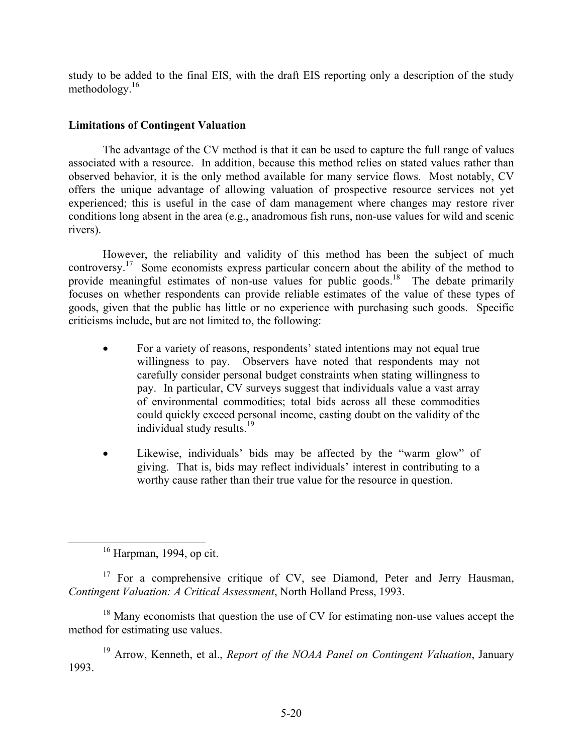study to be added to the final EIS, with the draft EIS reporting only a description of the study methodology.16

# **Limitations of Contingent Valuation**

The advantage of the CV method is that it can be used to capture the full range of values associated with a resource. In addition, because this method relies on stated values rather than observed behavior, it is the only method available for many service flows. Most notably, CV offers the unique advantage of allowing valuation of prospective resource services not yet experienced; this is useful in the case of dam management where changes may restore river conditions long absent in the area (e.g., anadromous fish runs, non-use values for wild and scenic rivers).

However, the reliability and validity of this method has been the subject of much controversy.<sup>17</sup> Some economists express particular concern about the ability of the method to provide meaningful estimates of non-use values for public goods.<sup>18</sup> The debate primarily focuses on whether respondents can provide reliable estimates of the value of these types of goods, given that the public has little or no experience with purchasing such goods. Specific criticisms include, but are not limited to, the following:

- For a variety of reasons, respondents' stated intentions may not equal true willingness to pay. Observers have noted that respondents may not carefully consider personal budget constraints when stating willingness to pay. In particular, CV surveys suggest that individuals value a vast array of environmental commodities; total bids across all these commodities could quickly exceed personal income, casting doubt on the validity of the individual study results.<sup>19</sup>
- Likewise, individuals' bids may be affected by the "warm glow" of giving. That is, bids may reflect individuals' interest in contributing to a worthy cause rather than their true value for the resource in question.

<sup>17</sup> For a comprehensive critique of CV, see Diamond, Peter and Jerry Hausman, *Contingent Valuation: A Critical Assessment*, North Holland Press, 1993.

<sup>18</sup> Many economists that question the use of CV for estimating non-use values accept the method for estimating use values.

19 Arrow, Kenneth, et al., *Report of the NOAA Panel on Contingent Valuation*, January 1993.

 $16$  Harpman, 1994, op cit.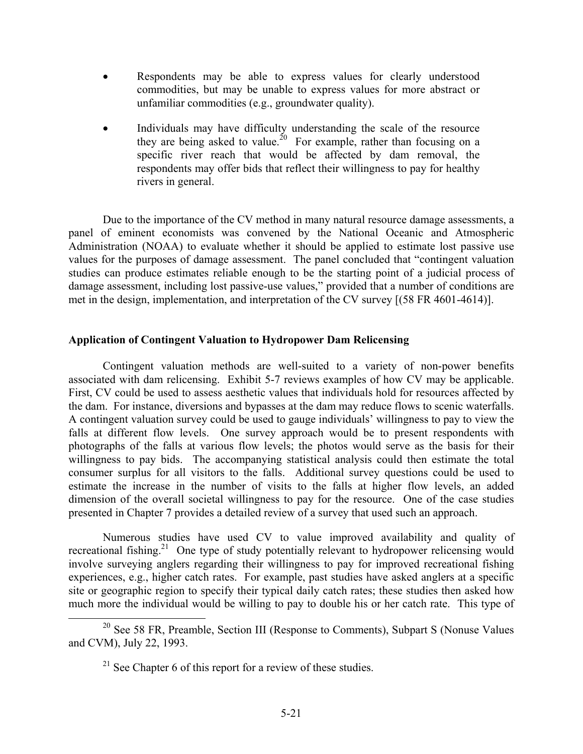- Respondents may be able to express values for clearly understood commodities, but may be unable to express values for more abstract or unfamiliar commodities (e.g., groundwater quality).
- Individuals may have difficulty understanding the scale of the resource they are being asked to value.<sup>20</sup> For example, rather than focusing on a specific river reach that would be affected by dam removal, the respondents may offer bids that reflect their willingness to pay for healthy rivers in general.

Due to the importance of the CV method in many natural resource damage assessments, a panel of eminent economists was convened by the National Oceanic and Atmospheric Administration (NOAA) to evaluate whether it should be applied to estimate lost passive use values for the purposes of damage assessment. The panel concluded that "contingent valuation studies can produce estimates reliable enough to be the starting point of a judicial process of damage assessment, including lost passive-use values," provided that a number of conditions are met in the design, implementation, and interpretation of the CV survey [(58 FR 4601-4614)].

# **Application of Contingent Valuation to Hydropower Dam Relicensing**

Contingent valuation methods are well-suited to a variety of non-power benefits associated with dam relicensing. Exhibit 5-7 reviews examples of how CV may be applicable. First, CV could be used to assess aesthetic values that individuals hold for resources affected by the dam. For instance, diversions and bypasses at the dam may reduce flows to scenic waterfalls. A contingent valuation survey could be used to gauge individuals' willingness to pay to view the falls at different flow levels. One survey approach would be to present respondents with photographs of the falls at various flow levels; the photos would serve as the basis for their willingness to pay bids. The accompanying statistical analysis could then estimate the total consumer surplus for all visitors to the falls. Additional survey questions could be used to estimate the increase in the number of visits to the falls at higher flow levels, an added dimension of the overall societal willingness to pay for the resource. One of the case studies presented in Chapter 7 provides a detailed review of a survey that used such an approach.

Numerous studies have used CV to value improved availability and quality of recreational fishing.<sup>21</sup> One type of study potentially relevant to hydropower relicensing would involve surveying anglers regarding their willingness to pay for improved recreational fishing experiences, e.g., higher catch rates. For example, past studies have asked anglers at a specific site or geographic region to specify their typical daily catch rates; these studies then asked how much more the individual would be willing to pay to double his or her catch rate. This type of

<sup>&</sup>lt;sup>20</sup> See 58 FR, Preamble, Section III (Response to Comments), Subpart S (Nonuse Values and CVM), July 22, 1993.

 $21$  See Chapter 6 of this report for a review of these studies.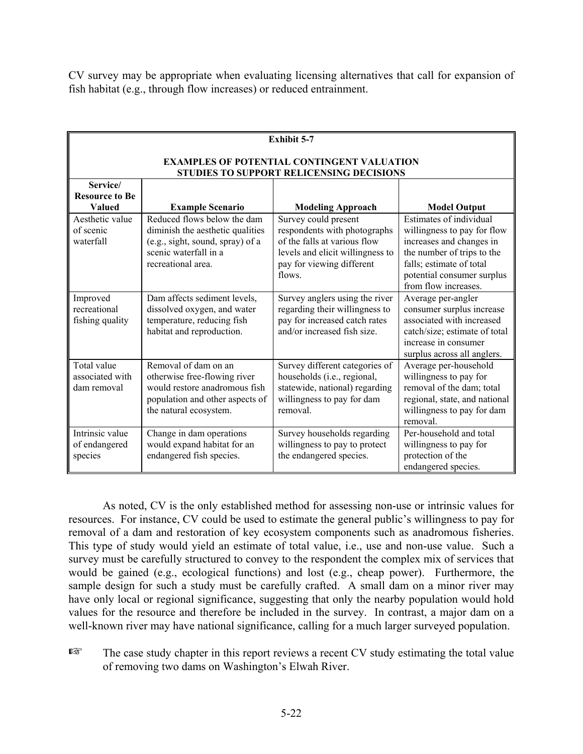CV survey may be appropriate when evaluating licensing alternatives that call for expansion of fish habitat (e.g., through flow increases) or reduced entrainment.

| <b>Exhibit 5-7</b>                                                                            |                                                                                                                                                    |                                                                                                                                                                 |                                                                                                                                                                                                    |  |  |  |
|-----------------------------------------------------------------------------------------------|----------------------------------------------------------------------------------------------------------------------------------------------------|-----------------------------------------------------------------------------------------------------------------------------------------------------------------|----------------------------------------------------------------------------------------------------------------------------------------------------------------------------------------------------|--|--|--|
| <b>EXAMPLES OF POTENTIAL CONTINGENT VALUATION</b><br>STUDIES TO SUPPORT RELICENSING DECISIONS |                                                                                                                                                    |                                                                                                                                                                 |                                                                                                                                                                                                    |  |  |  |
| Service/<br><b>Resource to Be</b><br>Valued                                                   | <b>Example Scenario</b>                                                                                                                            | <b>Modeling Approach</b>                                                                                                                                        | <b>Model Output</b>                                                                                                                                                                                |  |  |  |
| Aesthetic value<br>of scenic<br>waterfall                                                     | Reduced flows below the dam<br>diminish the aesthetic qualities<br>(e.g., sight, sound, spray) of a<br>scenic waterfall in a<br>recreational area. | Survey could present<br>respondents with photographs<br>of the falls at various flow<br>levels and elicit willingness to<br>pay for viewing different<br>flows. | Estimates of individual<br>willingness to pay for flow<br>increases and changes in<br>the number of trips to the<br>falls; estimate of total<br>potential consumer surplus<br>from flow increases. |  |  |  |
| Improved<br>recreational<br>fishing quality                                                   | Dam affects sediment levels,<br>dissolved oxygen, and water<br>temperature, reducing fish<br>habitat and reproduction.                             | Survey anglers using the river<br>regarding their willingness to<br>pay for increased catch rates<br>and/or increased fish size                                 | Average per-angler<br>consumer surplus increase<br>associated with increased<br>catch/size; estimate of total<br>increase in consumer<br>surplus across all anglers.                               |  |  |  |
| Total value<br>associated with<br>dam removal                                                 | Removal of dam on an<br>otherwise free-flowing river<br>would restore anadromous fish<br>population and other aspects of<br>the natural ecosystem. | Survey different categories of<br>households (i.e., regional,<br>statewide, national) regarding<br>willingness to pay for dam<br>removal.                       | Average per-household<br>willingness to pay for<br>removal of the dam; total<br>regional, state, and national<br>willingness to pay for dam<br>removal.                                            |  |  |  |
| Intrinsic value<br>of endangered<br>species                                                   | Change in dam operations<br>would expand habitat for an<br>endangered fish species.                                                                | Survey households regarding<br>willingness to pay to protect<br>the endangered species.                                                                         | Per-household and total<br>willingness to pay for<br>protection of the<br>endangered species.                                                                                                      |  |  |  |

As noted, CV is the only established method for assessing non-use or intrinsic values for resources. For instance, CV could be used to estimate the general public's willingness to pay for removal of a dam and restoration of key ecosystem components such as anadromous fisheries. This type of study would yield an estimate of total value, i.e., use and non-use value. Such a survey must be carefully structured to convey to the respondent the complex mix of services that would be gained (e.g., ecological functions) and lost (e.g., cheap power). Furthermore, the sample design for such a study must be carefully crafted. A small dam on a minor river may have only local or regional significance, suggesting that only the nearby population would hold values for the resource and therefore be included in the survey. In contrast, a major dam on a well-known river may have national significance, calling for a much larger surveyed population.

 $E^{\text{max}}$  The case study chapter in this report reviews a recent CV study estimating the total value of removing two dams on Washington's Elwah River.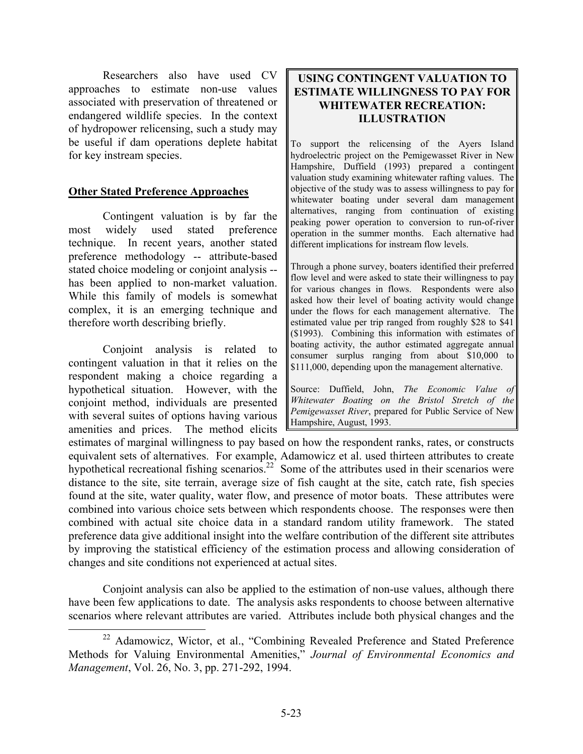Researchers also have used CV approaches to estimate non-use values associated with preservation of threatened or endangered wildlife species. In the context of hydropower relicensing, such a study may be useful if dam operations deplete habitat for key instream species.

# **Other Stated Preference Approaches**

Contingent valuation is by far the most widely used stated preference technique. In recent years, another stated preference methodology -- attribute-based stated choice modeling or conjoint analysis - has been applied to non-market valuation. While this family of models is somewhat complex, it is an emerging technique and therefore worth describing briefly.

Conjoint analysis is related to contingent valuation in that it relies on the respondent making a choice regarding a hypothetical situation. However, with the conjoint method, individuals are presented with several suites of options having various amenities and prices. The method elicits

# **USING CONTINGENT VALUATION TO ESTIMATE WILLINGNESS TO PAY FOR WHITEWATER RECREATION: ILLUSTRATION**

To support the relicensing of the Ayers Island hydroelectric project on the Pemigewasset River in New Hampshire, Duffield (1993) prepared a contingent valuation study examining whitewater rafting values. The objective of the study was to assess willingness to pay for whitewater boating under several dam management alternatives, ranging from continuation of existing peaking power operation to conversion to run-of-river operation in the summer months. Each alternative had different implications for instream flow levels.

Through a phone survey, boaters identified their preferred flow level and were asked to state their willingness to pay for various changes in flows. Respondents were also asked how their level of boating activity would change under the flows for each management alternative. The estimated value per trip ranged from roughly \$28 to \$41  $($1993)$ . Combining this information with estimates of boating activity, the author estimated aggregate annual consumer surplus ranging from about  $$10,000$  to \$111,000, depending upon the management alternative.

Source: Duffield, John, The Economic Value of *Whitewater Boating on the Bristol Stretch of the Pemigewasset River*, prepared for Public Service of New Hampshire, August, 1993.

estimates of marginal willingness to pay based on how the respondent ranks, rates, or constructs equivalent sets of alternatives. For example, Adamowicz et al. used thirteen attributes to create hypothetical recreational fishing scenarios.<sup>22</sup> Some of the attributes used in their scenarios were distance to the site, site terrain, average size of fish caught at the site, catch rate, fish species found at the site, water quality, water flow, and presence of motor boats. These attributes were combined into various choice sets between which respondents choose. The responses were then combined with actual site choice data in a standard random utility framework. The stated preference data give additional insight into the welfare contribution of the different site attributes by improving the statistical efficiency of the estimation process and allowing consideration of changes and site conditions not experienced at actual sites.

Conjoint analysis can also be applied to the estimation of non-use values, although there have been few applications to date. The analysis asks respondents to choose between alternative scenarios where relevant attributes are varied. Attributes include both physical changes and the

<sup>&</sup>lt;sup>22</sup> Adamowicz, Wictor, et al., "Combining Revealed Preference and Stated Preference Methods for Valuing Environmental Amenities," *Journal of Environmental Economics and Management*, Vol. 26, No. 3, pp. 271-292, 1994.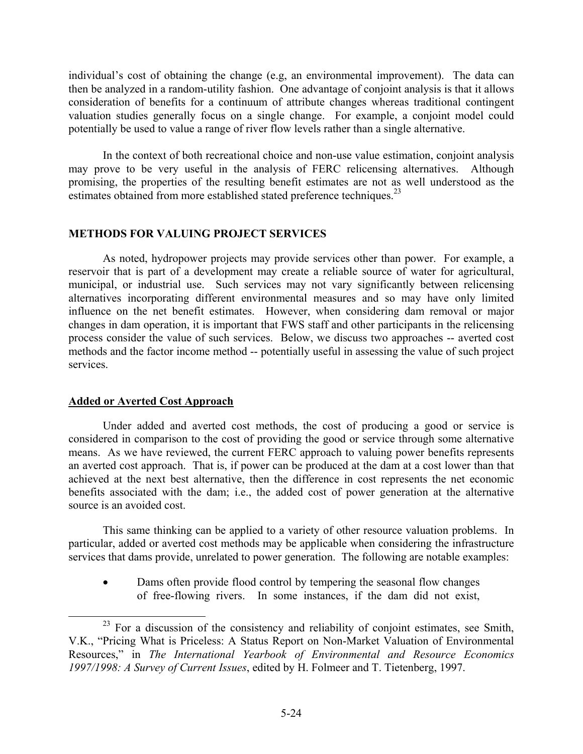individual's cost of obtaining the change (e.g, an environmental improvement). The data can then be analyzed in a random-utility fashion. One advantage of conjoint analysis is that it allows consideration of benefits for a continuum of attribute changes whereas traditional contingent valuation studies generally focus on a single change. For example, a conjoint model could potentially be used to value a range of river flow levels rather than a single alternative.

In the context of both recreational choice and non-use value estimation, conjoint analysis may prove to be very useful in the analysis of FERC relicensing alternatives. Although promising, the properties of the resulting benefit estimates are not as well understood as the estimates obtained from more established stated preference techniques.<sup>23</sup>

### **METHODS FOR VALUING PROJECT SERVICES**

As noted, hydropower projects may provide services other than power. For example, a reservoir that is part of a development may create a reliable source of water for agricultural, municipal, or industrial use. Such services may not vary significantly between relicensing alternatives incorporating different environmental measures and so may have only limited influence on the net benefit estimates. However, when considering dam removal or major changes in dam operation, it is important that FWS staff and other participants in the relicensing process consider the value of such services. Below, we discuss two approaches -- averted cost methods and the factor income method -- potentially useful in assessing the value of such project services.

### **Added or Averted Cost Approach**

Under added and averted cost methods, the cost of producing a good or service is considered in comparison to the cost of providing the good or service through some alternative means. As we have reviewed, the current FERC approach to valuing power benefits represents an averted cost approach. That is, if power can be produced at the dam at a cost lower than that achieved at the next best alternative, then the difference in cost represents the net economic benefits associated with the dam; i.e., the added cost of power generation at the alternative source is an avoided cost.

This same thinking can be applied to a variety of other resource valuation problems. In particular, added or averted cost methods may be applicable when considering the infrastructure services that dams provide, unrelated to power generation. The following are notable examples:

• Dams often provide flood control by tempering the seasonal flow changes of free-flowing rivers. In some instances, if the dam did not exist,

 $23$  For a discussion of the consistency and reliability of conjoint estimates, see Smith, V.K., "Pricing What is Priceless: A Status Report on Non-Market Valuation of Environmental Resources," in *The International Yearbook of Environmental and Resource Economics 1997/1998: A Survey of Current Issues*, edited by H. Folmeer and T. Tietenberg, 1997.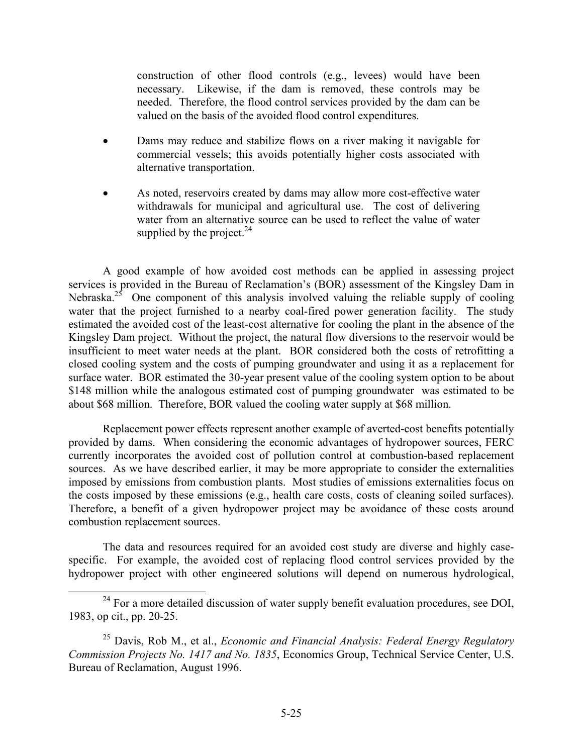construction of other flood controls (e.g., levees) would have been necessary. Likewise, if the dam is removed, these controls may be needed. Therefore, the flood control services provided by the dam can be valued on the basis of the avoided flood control expenditures.

- Dams may reduce and stabilize flows on a river making it navigable for commercial vessels; this avoids potentially higher costs associated with alternative transportation.
- As noted, reservoirs created by dams may allow more cost-effective water withdrawals for municipal and agricultural use. The cost of delivering water from an alternative source can be used to reflect the value of water supplied by the project. $24$

A good example of how avoided cost methods can be applied in assessing project services is provided in the Bureau of Reclamation's (BOR) assessment of the Kingsley Dam in Nebraska.<sup>25</sup> One component of this analysis involved valuing the reliable supply of cooling water that the project furnished to a nearby coal-fired power generation facility. The study estimated the avoided cost of the least-cost alternative for cooling the plant in the absence of the Kingsley Dam project. Without the project, the natural flow diversions to the reservoir would be insufficient to meet water needs at the plant. BOR considered both the costs of retrofitting a closed cooling system and the costs of pumping groundwater and using it as a replacement for surface water. BOR estimated the 30-year present value of the cooling system option to be about \$148 million while the analogous estimated cost of pumping groundwater was estimated to be about \$68 million. Therefore, BOR valued the cooling water supply at \$68 million.

Replacement power effects represent another example of averted-cost benefits potentially provided by dams. When considering the economic advantages of hydropower sources, FERC currently incorporates the avoided cost of pollution control at combustion-based replacement sources. As we have described earlier, it may be more appropriate to consider the externalities imposed by emissions from combustion plants. Most studies of emissions externalities focus on the costs imposed by these emissions (e.g., health care costs, costs of cleaning soiled surfaces). Therefore, a benefit of a given hydropower project may be avoidance of these costs around combustion replacement sources.

The data and resources required for an avoided cost study are diverse and highly casespecific. For example, the avoided cost of replacing flood control services provided by the hydropower project with other engineered solutions will depend on numerous hydrological,

 $24$  For a more detailed discussion of water supply benefit evaluation procedures, see DOI, 1983, op cit., pp. 20-25.

<sup>25</sup> Davis, Rob M., et al., *Economic and Financial Analysis: Federal Energy Regulatory Commission Projects No. 1417 and No. 1835*, Economics Group, Technical Service Center, U.S. Bureau of Reclamation, August 1996.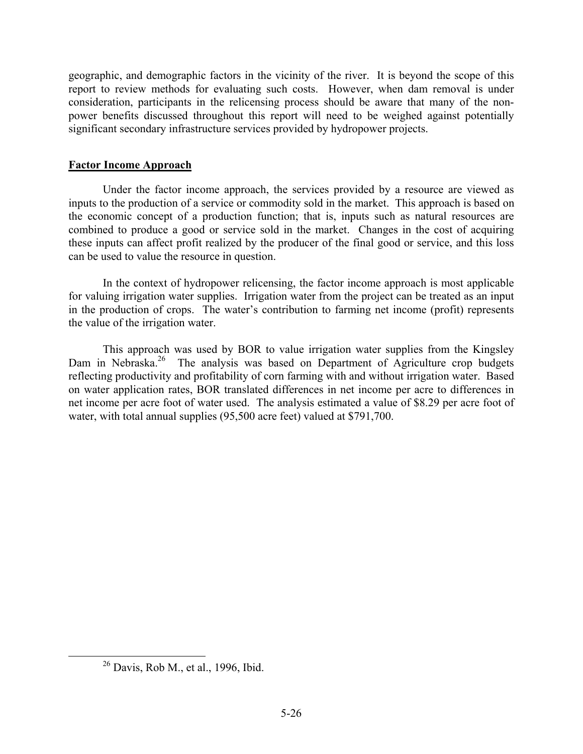geographic, and demographic factors in the vicinity of the river. It is beyond the scope of this report to review methods for evaluating such costs. However, when dam removal is under consideration, participants in the relicensing process should be aware that many of the nonpower benefits discussed throughout this report will need to be weighed against potentially significant secondary infrastructure services provided by hydropower projects.

# **Factor Income Approach**

Under the factor income approach, the services provided by a resource are viewed as inputs to the production of a service or commodity sold in the market. This approach is based on the economic concept of a production function; that is, inputs such as natural resources are combined to produce a good or service sold in the market. Changes in the cost of acquiring these inputs can affect profit realized by the producer of the final good or service, and this loss can be used to value the resource in question.

In the context of hydropower relicensing, the factor income approach is most applicable for valuing irrigation water supplies. Irrigation water from the project can be treated as an input in the production of crops. The water's contribution to farming net income (profit) represents the value of the irrigation water.

This approach was used by BOR to value irrigation water supplies from the Kingsley Dam in Nebraska.<sup>26</sup> The analysis was based on Department of Agriculture crop budgets reflecting productivity and profitability of corn farming with and without irrigation water. Based on water application rates, BOR translated differences in net income per acre to differences in net income per acre foot of water used. The analysis estimated a value of \$8.29 per acre foot of water, with total annual supplies (95,500 acre feet) valued at \$791,700.

<sup>26</sup> Davis, Rob M., et al., 1996, Ibid.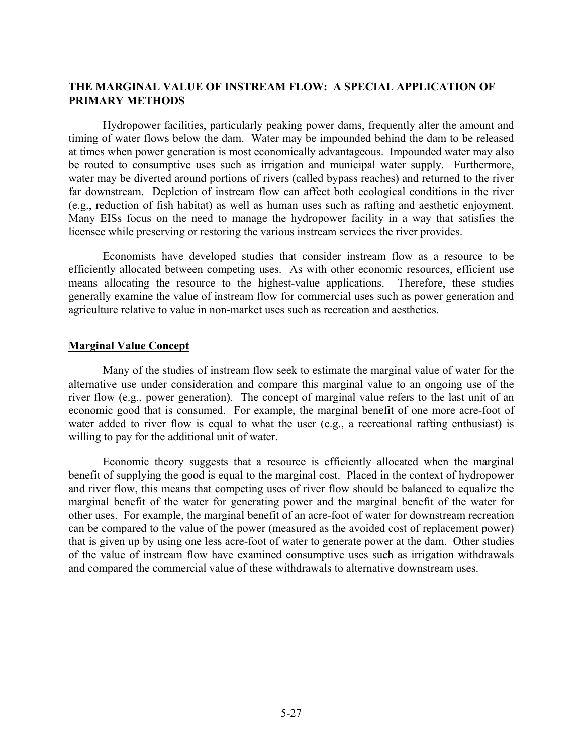# **THE MARGINAL VALUE OF INSTREAM FLOW: A SPECIAL APPLICATION OF PRIMARY METHODS**

Hydropower facilities, particularly peaking power dams, frequently alter the amount and timing of water flows below the dam. Water may be impounded behind the dam to be released at times when power generation is most economically advantageous. Impounded water may also be routed to consumptive uses such as irrigation and municipal water supply. Furthermore, water may be diverted around portions of rivers (called bypass reaches) and returned to the river far downstream. Depletion of instream flow can affect both ecological conditions in the river (e.g., reduction of fish habitat) as well as human uses such as rafting and aesthetic enjoyment. Many EISs focus on the need to manage the hydropower facility in a way that satisfies the licensee while preserving or restoring the various instream services the river provides.

Economists have developed studies that consider instream flow as a resource to be efficiently allocated between competing uses. As with other economic resources, efficient use means allocating the resource to the highest-value applications. Therefore, these studies generally examine the value of instream flow for commercial uses such as power generation and agriculture relative to value in non-market uses such as recreation and aesthetics.

#### **Marginal Value Concept**

Many of the studies of instream flow seek to estimate the marginal value of water for the alternative use under consideration and compare this marginal value to an ongoing use of the river flow (e.g., power generation). The concept of marginal value refers to the last unit of an economic good that is consumed. For example, the marginal benefit of one more acre-foot of water added to river flow is equal to what the user (e.g., a recreational rafting enthusiast) is willing to pay for the additional unit of water.

Economic theory suggests that a resource is efficiently allocated when the marginal benefit of supplying the good is equal to the marginal cost. Placed in the context of hydropower and river flow, this means that competing uses of river flow should be balanced to equalize the marginal benefit of the water for generating power and the marginal benefit of the water for other uses. For example, the marginal benefit of an acre-foot of water for downstream recreation can be compared to the value of the power (measured as the avoided cost of replacement power) that is given up by using one less acre-foot of water to generate power at the dam. Other studies of the value of instream flow have examined consumptive uses such as irrigation withdrawals and compared the commercial value of these withdrawals to alternative downstream uses.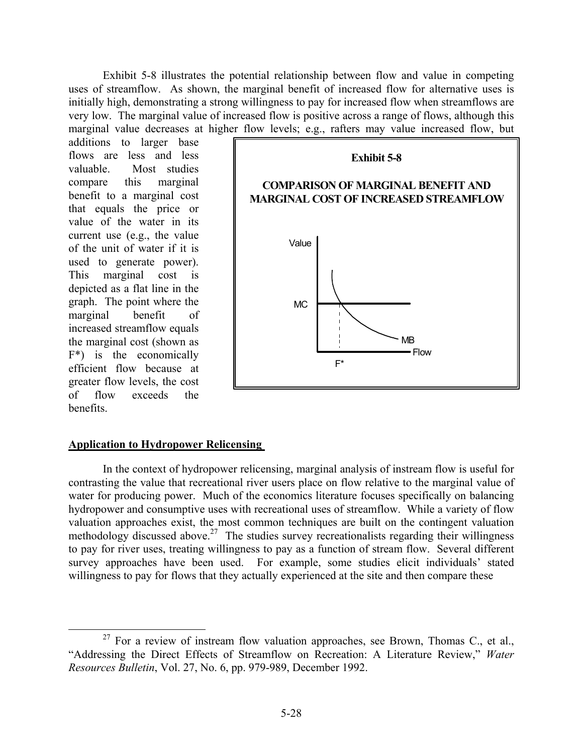Exhibit 5-8 illustrates the potential relationship between flow and value in competing uses of streamflow. As shown, the marginal benefit of increased flow for alternative uses is initially high, demonstrating a strong willingness to pay for increased flow when streamflows are very low. The marginal value of increased flow is positive across a range of flows, although this marginal value decreases at higher flow levels; e.g., rafters may value increased flow, but

additions to larger base flows are less and less valuable. Most studies compare this marginal benefit to a marginal cost that equals the price or value of the water in its current use (e.g., the value of the unit of water if it is used to generate power). This marginal cost is depicted as a flat line in the graph. The point where the marginal benefit of increased streamflow equals the marginal cost (shown as F\*) is the economically efficient flow because at greater flow levels, the cost of flow exceeds the benefits.



### **Application to Hydropower Relicensing**

In the context of hydropower relicensing, marginal analysis of instream flow is useful for contrasting the value that recreational river users place on flow relative to the marginal value of water for producing power. Much of the economics literature focuses specifically on balancing hydropower and consumptive uses with recreational uses of streamflow. While a variety of flow valuation approaches exist, the most common techniques are built on the contingent valuation methodology discussed above.<sup>27</sup> The studies survey recreationalists regarding their willingness to pay for river uses, treating willingness to pay as a function of stream flow. Several different survey approaches have been used. For example, some studies elicit individuals' stated willingness to pay for flows that they actually experienced at the site and then compare these

 $27$  For a review of instream flow valuation approaches, see Brown, Thomas C., et al., "Addressing the Direct Effects of Streamflow on Recreation: A Literature Review," *Water Resources Bulletin*, Vol. 27, No. 6, pp. 979-989, December 1992.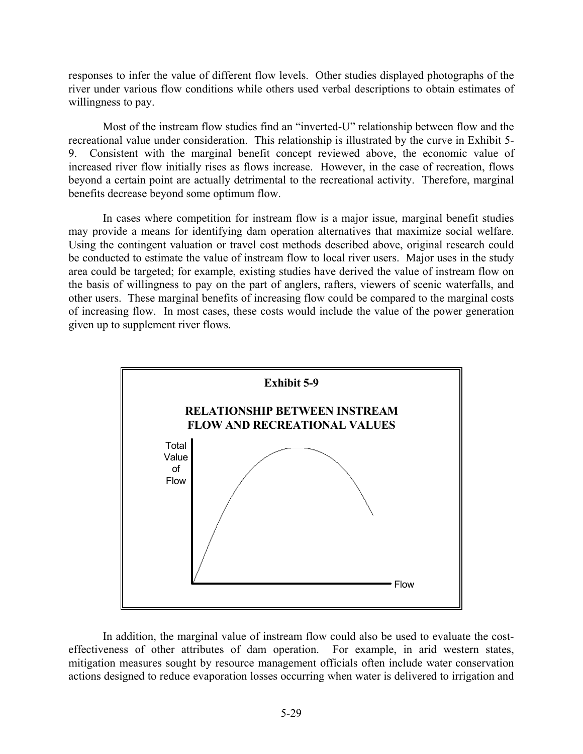responses to infer the value of different flow levels. Other studies displayed photographs of the river under various flow conditions while others used verbal descriptions to obtain estimates of willingness to pay.

Most of the instream flow studies find an "inverted-U" relationship between flow and the recreational value under consideration. This relationship is illustrated by the curve in Exhibit 5- 9. Consistent with the marginal benefit concept reviewed above, the economic value of increased river flow initially rises as flows increase. However, in the case of recreation, flows beyond a certain point are actually detrimental to the recreational activity. Therefore, marginal benefits decrease beyond some optimum flow.

In cases where competition for instream flow is a major issue, marginal benefit studies may provide a means for identifying dam operation alternatives that maximize social welfare. Using the contingent valuation or travel cost methods described above, original research could be conducted to estimate the value of instream flow to local river users. Major uses in the study area could be targeted; for example, existing studies have derived the value of instream flow on the basis of willingness to pay on the part of anglers, rafters, viewers of scenic waterfalls, and other users. These marginal benefits of increasing flow could be compared to the marginal costs of increasing flow. In most cases, these costs would include the value of the power generation given up to supplement river flows.



In addition, the marginal value of instream flow could also be used to evaluate the costeffectiveness of other attributes of dam operation. For example, in arid western states, mitigation measures sought by resource management officials often include water conservation actions designed to reduce evaporation losses occurring when water is delivered to irrigation and